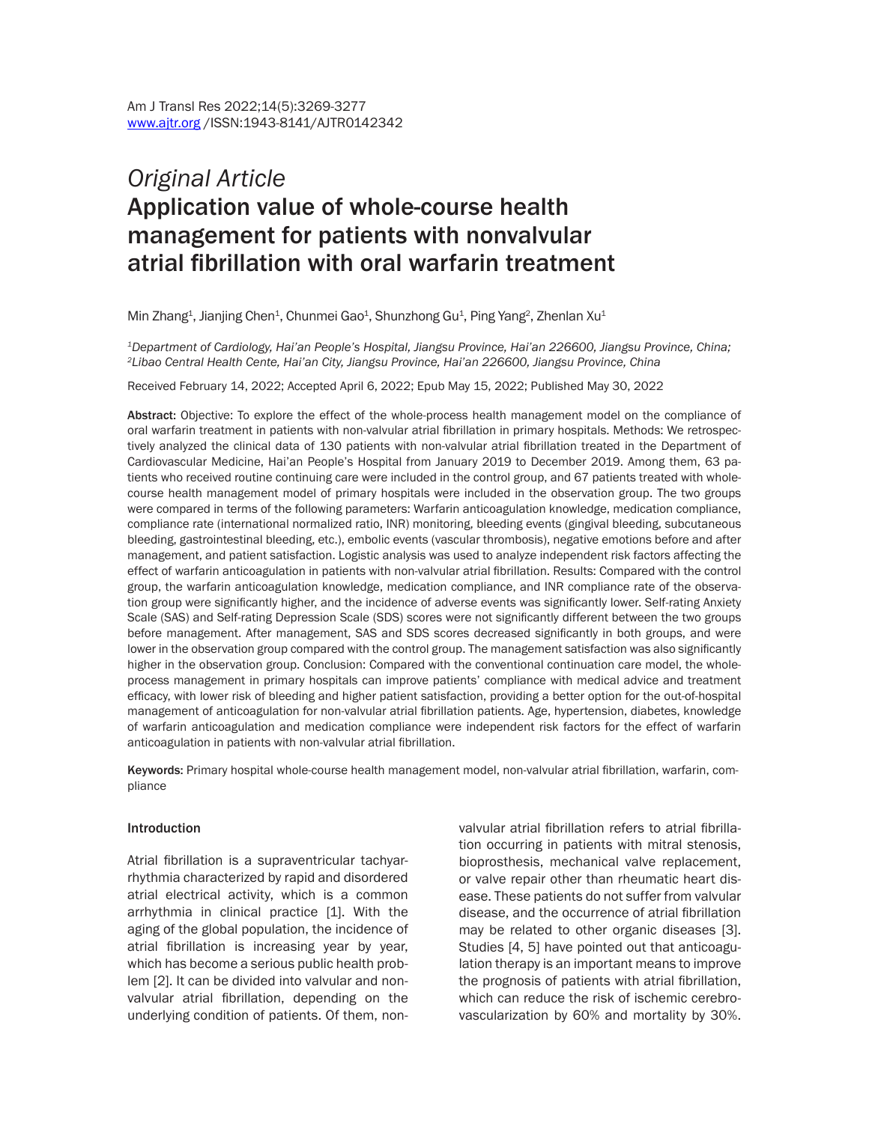# *Original Article*  Application value of whole-course health management for patients with nonvalvular atrial fibrillation with oral warfarin treatment

Min Zhang<sup>1</sup>, Jianjing Chen<sup>1</sup>, Chunmei Gao<sup>1</sup>, Shunzhong Gu<sup>1</sup>, Ping Yang<sup>2</sup>, Zhenlan Xu<sup>1</sup>

*1Department of Cardiology, Hai'an People's Hospital, Jiangsu Province, Hai'an 226600, Jiangsu Province, China; 2Libao Central Health Cente, Hai'an City, Jiangsu Province, Hai'an 226600, Jiangsu Province, China*

Received February 14, 2022; Accepted April 6, 2022; Epub May 15, 2022; Published May 30, 2022

Abstract: Objective: To explore the effect of the whole-process health management model on the compliance of oral warfarin treatment in patients with non-valvular atrial fibrillation in primary hospitals. Methods: We retrospectively analyzed the clinical data of 130 patients with non-valvular atrial fibrillation treated in the Department of Cardiovascular Medicine, Hai'an People's Hospital from January 2019 to December 2019. Among them, 63 patients who received routine continuing care were included in the control group, and 67 patients treated with wholecourse health management model of primary hospitals were included in the observation group. The two groups were compared in terms of the following parameters: Warfarin anticoagulation knowledge, medication compliance, compliance rate (international normalized ratio, INR) monitoring, bleeding events (gingival bleeding, subcutaneous bleeding, gastrointestinal bleeding, etc.), embolic events (vascular thrombosis), negative emotions before and after management, and patient satisfaction. Logistic analysis was used to analyze independent risk factors affecting the effect of warfarin anticoagulation in patients with non-valvular atrial fibrillation. Results: Compared with the control group, the warfarin anticoagulation knowledge, medication compliance, and INR compliance rate of the observation group were significantly higher, and the incidence of adverse events was significantly lower. Self-rating Anxiety Scale (SAS) and Self-rating Depression Scale (SDS) scores were not significantly different between the two groups before management. After management, SAS and SDS scores decreased significantly in both groups, and were lower in the observation group compared with the control group. The management satisfaction was also significantly higher in the observation group. Conclusion: Compared with the conventional continuation care model, the wholeprocess management in primary hospitals can improve patients' compliance with medical advice and treatment efficacy, with lower risk of bleeding and higher patient satisfaction, providing a better option for the out-of-hospital management of anticoagulation for non-valvular atrial fibrillation patients. Age, hypertension, diabetes, knowledge of warfarin anticoagulation and medication compliance were independent risk factors for the effect of warfarin anticoagulation in patients with non-valvular atrial fibrillation.

Keywords: Primary hospital whole-course health management model, non-valvular atrial fibrillation, warfarin, compliance

#### **Introduction**

Atrial fibrillation is a supraventricular tachyarrhythmia characterized by rapid and disordered atrial electrical activity, which is a common arrhythmia in clinical practice [1]. With the aging of the global population, the incidence of atrial fibrillation is increasing year by year, which has become a serious public health problem [2]. It can be divided into valvular and nonvalvular atrial fibrillation, depending on the underlying condition of patients. Of them, nonvalvular atrial fibrillation refers to atrial fibrillation occurring in patients with mitral stenosis, bioprosthesis, mechanical valve replacement, or valve repair other than rheumatic heart disease. These patients do not suffer from valvular disease, and the occurrence of atrial fibrillation may be related to other organic diseases [3]. Studies [4, 5] have pointed out that anticoagulation therapy is an important means to improve the prognosis of patients with atrial fibrillation, which can reduce the risk of ischemic cerebrovascularization by 60% and mortality by 30%.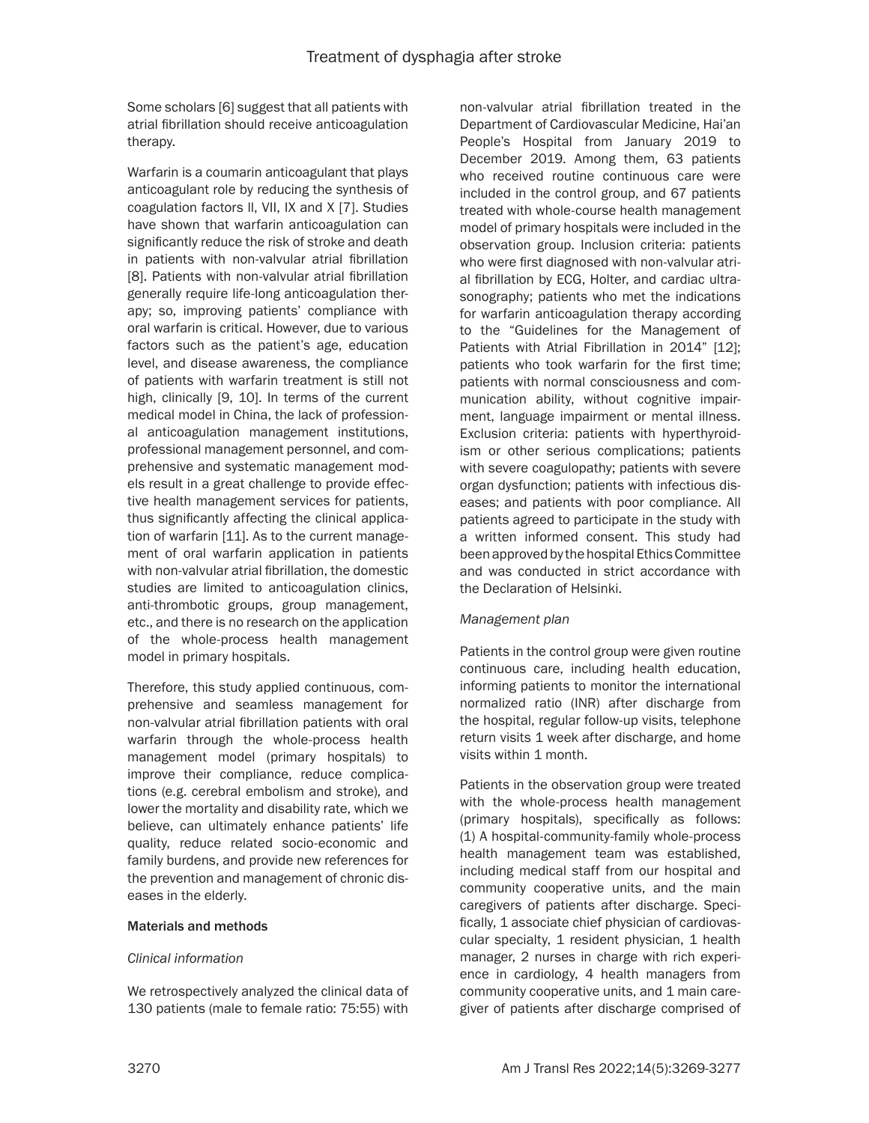Some scholars [6] suggest that all patients with atrial fibrillation should receive anticoagulation therapy.

Warfarin is a coumarin anticoagulant that plays anticoagulant role by reducing the synthesis of coagulation factors ll, VII, IX and X [7]. Studies have shown that warfarin anticoagulation can significantly reduce the risk of stroke and death in patients with non-valvular atrial fibrillation [8]. Patients with non-valvular atrial fibrillation generally require life-long anticoagulation therapy; so, improving patients' compliance with oral warfarin is critical. However, due to various factors such as the patient's age, education level, and disease awareness, the compliance of patients with warfarin treatment is still not high, clinically [9, 10]. In terms of the current medical model in China, the lack of professional anticoagulation management institutions, professional management personnel, and comprehensive and systematic management models result in a great challenge to provide effective health management services for patients, thus significantly affecting the clinical application of warfarin [11]. As to the current management of oral warfarin application in patients with non-valvular atrial fibrillation, the domestic studies are limited to anticoagulation clinics, anti-thrombotic groups, group management, etc., and there is no research on the application of the whole-process health management model in primary hospitals.

Therefore, this study applied continuous, comprehensive and seamless management for non-valvular atrial fibrillation patients with oral warfarin through the whole-process health management model (primary hospitals) to improve their compliance, reduce complications (e.g. cerebral embolism and stroke), and lower the mortality and disability rate, which we believe, can ultimately enhance patients' life quality, reduce related socio-economic and family burdens, and provide new references for the prevention and management of chronic diseases in the elderly.

# Materials and methods

# *Clinical information*

We retrospectively analyzed the clinical data of 130 patients (male to female ratio: 75:55) with non-valvular atrial fibrillation treated in the Department of Cardiovascular Medicine, Hai'an People's Hospital from January 2019 to December 2019. Among them, 63 patients who received routine continuous care were included in the control group, and 67 patients treated with whole-course health management model of primary hospitals were included in the observation group. Inclusion criteria: patients who were first diagnosed with non-valvular atrial fibrillation by ECG, Holter, and cardiac ultrasonography; patients who met the indications for warfarin anticoagulation therapy according to the "Guidelines for the Management of Patients with Atrial Fibrillation in 2014" [12]; patients who took warfarin for the first time; patients with normal consciousness and communication ability, without cognitive impairment, language impairment or mental illness. Exclusion criteria: patients with hyperthyroidism or other serious complications; patients with severe coagulopathy; patients with severe organ dysfunction; patients with infectious diseases; and patients with poor compliance. All patients agreed to participate in the study with a written informed consent. This study had been approved by the hospital Ethics Committee and was conducted in strict accordance with the Declaration of Helsinki.

# *Management plan*

Patients in the control group were given routine continuous care, including health education, informing patients to monitor the international normalized ratio (INR) after discharge from the hospital, regular follow-up visits, telephone return visits 1 week after discharge, and home visits within 1 month.

Patients in the observation group were treated with the whole-process health management (primary hospitals), specifically as follows: (1) A hospital-community-family whole-process health management team was established, including medical staff from our hospital and community cooperative units, and the main caregivers of patients after discharge. Specifically, 1 associate chief physician of cardiovascular specialty, 1 resident physician, 1 health manager, 2 nurses in charge with rich experience in cardiology, 4 health managers from community cooperative units, and 1 main caregiver of patients after discharge comprised of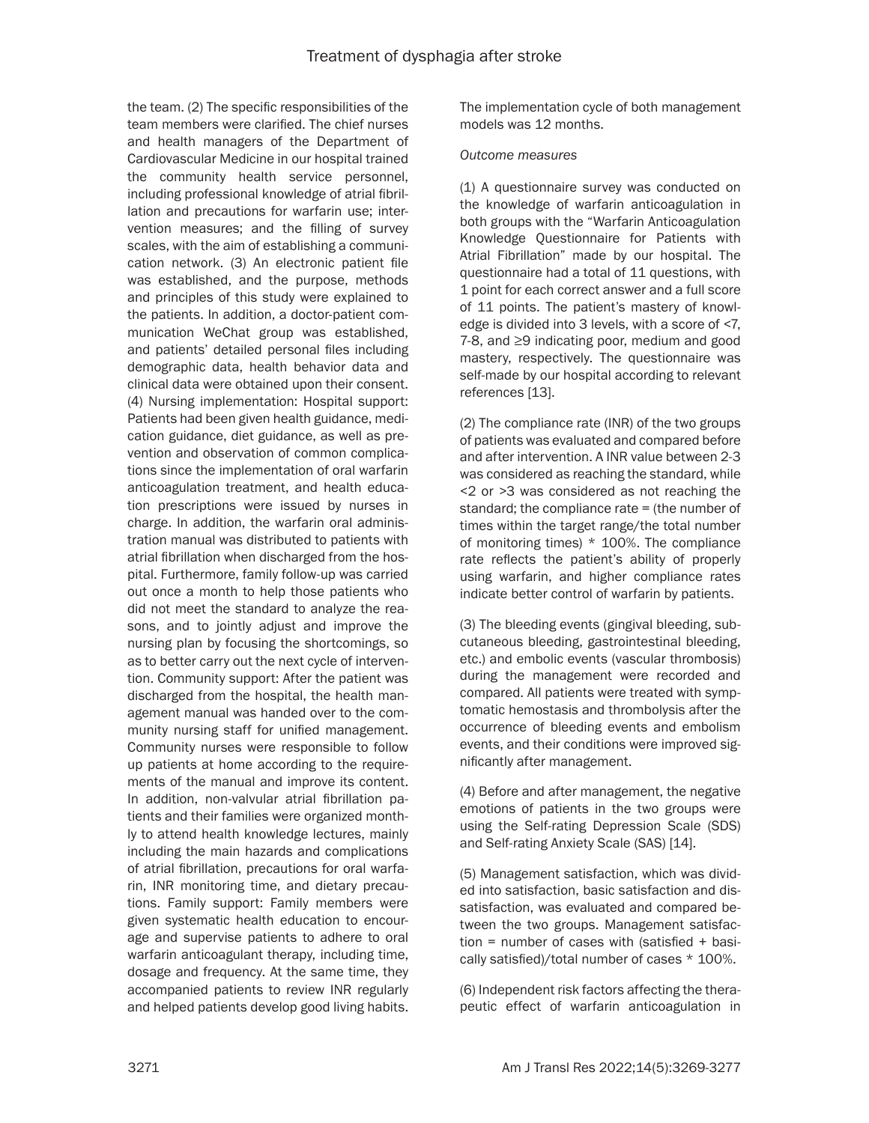the team. (2) The specific responsibilities of the team members were clarified. The chief nurses and health managers of the Department of Cardiovascular Medicine in our hospital trained the community health service personnel, including professional knowledge of atrial fibrillation and precautions for warfarin use; intervention measures; and the filling of survey scales, with the aim of establishing a communication network. (3) An electronic patient file was established, and the purpose, methods and principles of this study were explained to the patients. In addition, a doctor-patient communication WeChat group was established, and patients' detailed personal files including demographic data, health behavior data and clinical data were obtained upon their consent. (4) Nursing implementation: Hospital support: Patients had been given health guidance, medication guidance, diet guidance, as well as prevention and observation of common complications since the implementation of oral warfarin anticoagulation treatment, and health education prescriptions were issued by nurses in charge. In addition, the warfarin oral administration manual was distributed to patients with atrial fibrillation when discharged from the hospital. Furthermore, family follow-up was carried out once a month to help those patients who did not meet the standard to analyze the reasons, and to jointly adjust and improve the nursing plan by focusing the shortcomings, so as to better carry out the next cycle of intervention. Community support: After the patient was discharged from the hospital, the health management manual was handed over to the community nursing staff for unified management. Community nurses were responsible to follow up patients at home according to the requirements of the manual and improve its content. In addition, non-valvular atrial fibrillation patients and their families were organized monthly to attend health knowledge lectures, mainly including the main hazards and complications of atrial fibrillation, precautions for oral warfarin, INR monitoring time, and dietary precautions. Family support: Family members were given systematic health education to encourage and supervise patients to adhere to oral warfarin anticoagulant therapy, including time, dosage and frequency. At the same time, they accompanied patients to review INR regularly and helped patients develop good living habits.

The implementation cycle of both management models was 12 months.

#### *Outcome measures*

(1) A questionnaire survey was conducted on the knowledge of warfarin anticoagulation in both groups with the "Warfarin Anticoagulation Knowledge Questionnaire for Patients with Atrial Fibrillation" made by our hospital. The questionnaire had a total of 11 questions, with 1 point for each correct answer and a full score of 11 points. The patient's mastery of knowledge is divided into 3 levels, with a score of <7, 7-8, and ≥9 indicating poor, medium and good mastery, respectively. The questionnaire was self-made by our hospital according to relevant references [13].

(2) The compliance rate (INR) of the two groups of patients was evaluated and compared before and after intervention. A INR value between 2-3 was considered as reaching the standard, while <2 or >3 was considered as not reaching the standard; the compliance rate = (the number of times within the target range/the total number of monitoring times) \* 100%. The compliance rate reflects the patient's ability of properly using warfarin, and higher compliance rates indicate better control of warfarin by patients.

(3) The bleeding events (gingival bleeding, subcutaneous bleeding, gastrointestinal bleeding, etc.) and embolic events (vascular thrombosis) during the management were recorded and compared. All patients were treated with symptomatic hemostasis and thrombolysis after the occurrence of bleeding events and embolism events, and their conditions were improved significantly after management.

(4) Before and after management, the negative emotions of patients in the two groups were using the Self-rating Depression Scale (SDS) and Self-rating Anxiety Scale (SAS) [14].

(5) Management satisfaction, which was divided into satisfaction, basic satisfaction and dissatisfaction, was evaluated and compared between the two groups. Management satisfaction = number of cases with (satisfied + basically satisfied)/total number of cases \* 100%.

(6) Independent risk factors affecting the therapeutic effect of warfarin anticoagulation in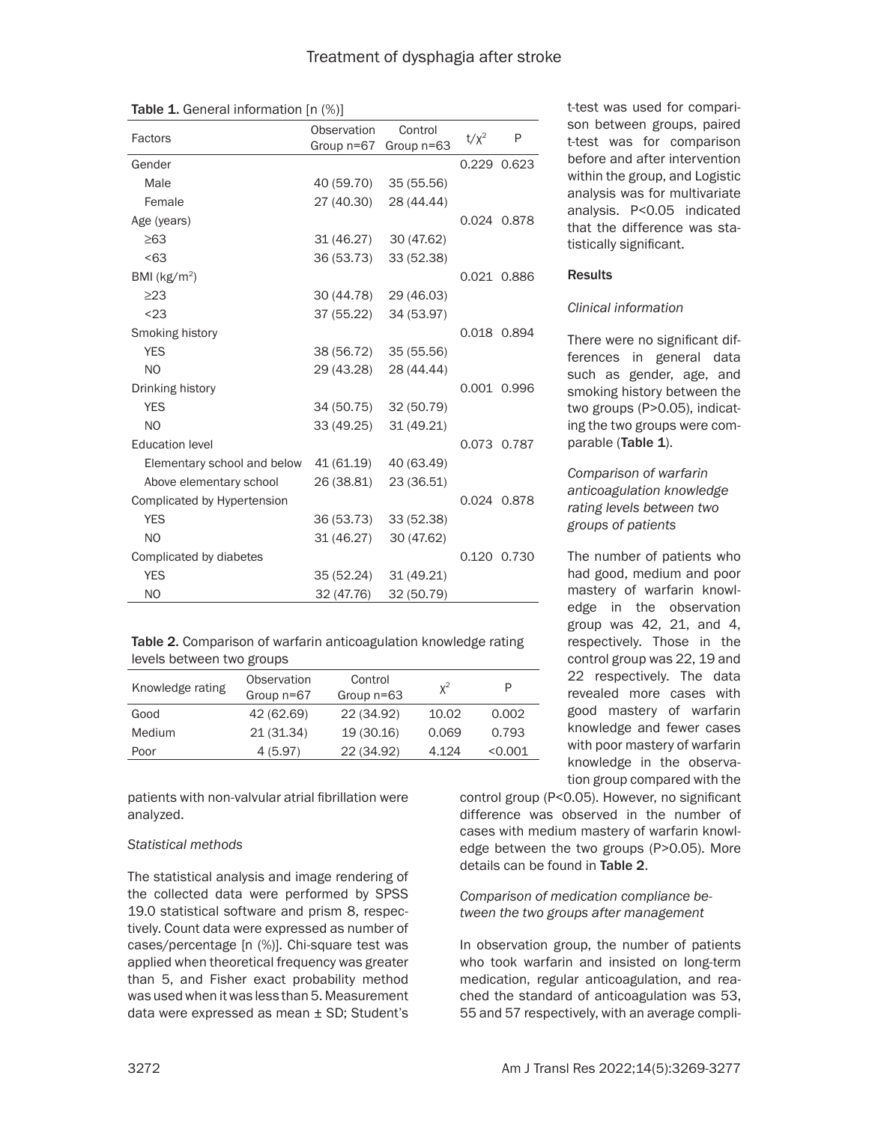| Factors                     | Observation<br>Group n=67 | Control<br>Group n=63 | $t/x^2$ | P           |
|-----------------------------|---------------------------|-----------------------|---------|-------------|
| Gender                      |                           |                       |         | 0.229 0.623 |
| Male                        | 40 (59.70)                | 35 (55.56)            |         |             |
| Female                      | 27 (40.30)                | 28 (44.44)            |         |             |
| Age (years)                 |                           |                       |         | 0.024 0.878 |
| $\geq 63$                   | 31 (46.27)                | 30 (47.62)            |         |             |
| < 63                        | 36 (53.73)                | 33 (52.38)            |         |             |
| BMI ( $kg/m2$ )             |                           |                       |         | 0.021 0.886 |
| $\geq$ 23                   | 30 (44.78)                | 29 (46.03)            |         |             |
| $23$                        | 37 (55.22)                | 34 (53.97)            |         |             |
| Smoking history             |                           |                       |         | 0.018 0.894 |
| <b>YES</b>                  | 38 (56.72)                | 35 (55.56)            |         |             |
| N <sub>O</sub>              | 29 (43.28)                | 28 (44.44)            |         |             |
| Drinking history            |                           |                       |         | 0.001 0.996 |
| <b>YES</b>                  | 34 (50.75)                | 32 (50.79)            |         |             |
| N <sub>O</sub>              | 33 (49.25)                | 31 (49.21)            |         |             |
| <b>Education level</b>      |                           |                       |         | 0.073 0.787 |
| Elementary school and below | 41 (61.19)                | 40 (63.49)            |         |             |
| Above elementary school     | 26 (38.81)                | 23 (36.51)            |         |             |
| Complicated by Hypertension |                           |                       |         | 0.024 0.878 |
| <b>YES</b>                  | 36 (53.73)                | 33 (52.38)            |         |             |
| N <sub>O</sub>              | 31 (46.27)                | 30 (47.62)            |         |             |
| Complicated by diabetes     |                           |                       |         | 0.120 0.730 |
| <b>YES</b>                  | 35 (52.24)                | 31 (49.21)            |         |             |
| N <sub>O</sub>              | 32 (47.76)                | 32 (50.79)            |         |             |

Table 1. General information [n (%)]

|                           |  | Table 2. Comparison of warfarin anticoagulation knowledge rating |
|---------------------------|--|------------------------------------------------------------------|
| levels between two groups |  |                                                                  |

| Knowledge rating | Observation<br>Group $n=67$ | Control<br>Group $n=63$ | $x^2$ | P       |
|------------------|-----------------------------|-------------------------|-------|---------|
| Good             | 42 (62.69)                  | 22 (34.92)              | 10.02 | 0.002   |
| Medium           | 21 (31.34)                  | 19 (30.16)              | 0.069 | 0.793   |
| Poor             | 4 (5.97)                    | 22 (34.92)              | 4.124 | < 0.001 |

patients with non-valvular atrial fibrillation were analyzed.

# *Statistical methods*

The statistical analysis and image rendering of the collected data were performed by SPSS 19.0 statistical software and prism 8, respectively. Count data were expressed as number of cases/percentage [n (%)]. Chi-square test was applied when theoretical frequency was greater than 5, and Fisher exact probability method was used when it was less than 5. Measurement data were expressed as mean ± SD; Student's

t-test was used for comparison between groups, paired t-test was for comparison before and after intervention within the group, and Logistic analysis was for multivariate analysis. P<0.05 indicated that the difference was statistically significant.

# **Results**

# *Clinical information*

There were no significant differences in general data such as gender, age, and smoking history between the two groups (P>0.05), indicating the two groups were comparable (Table 1).

# *Comparison of warfarin anticoagulation knowledge rating levels between two groups of patients*

The number of patients who had good, medium and poor mastery of warfarin knowledge in the observation group was 42, 21, and 4, respectively. Those in the control group was 22, 19 and 22 respectively. The data revealed more cases with good mastery of warfarin knowledge and fewer cases with poor mastery of warfarin knowledge in the observation group compared with the

control group (P<0.05). However, no significant difference was observed in the number of cases with medium mastery of warfarin knowledge between the two groups (P>0.05). More details can be found in Table 2.

# *Comparison of medication compliance between the two groups after management*

In observation group, the number of patients who took warfarin and insisted on long-term medication, regular anticoagulation, and reached the standard of anticoagulation was 53, 55 and 57 respectively, with an average compli-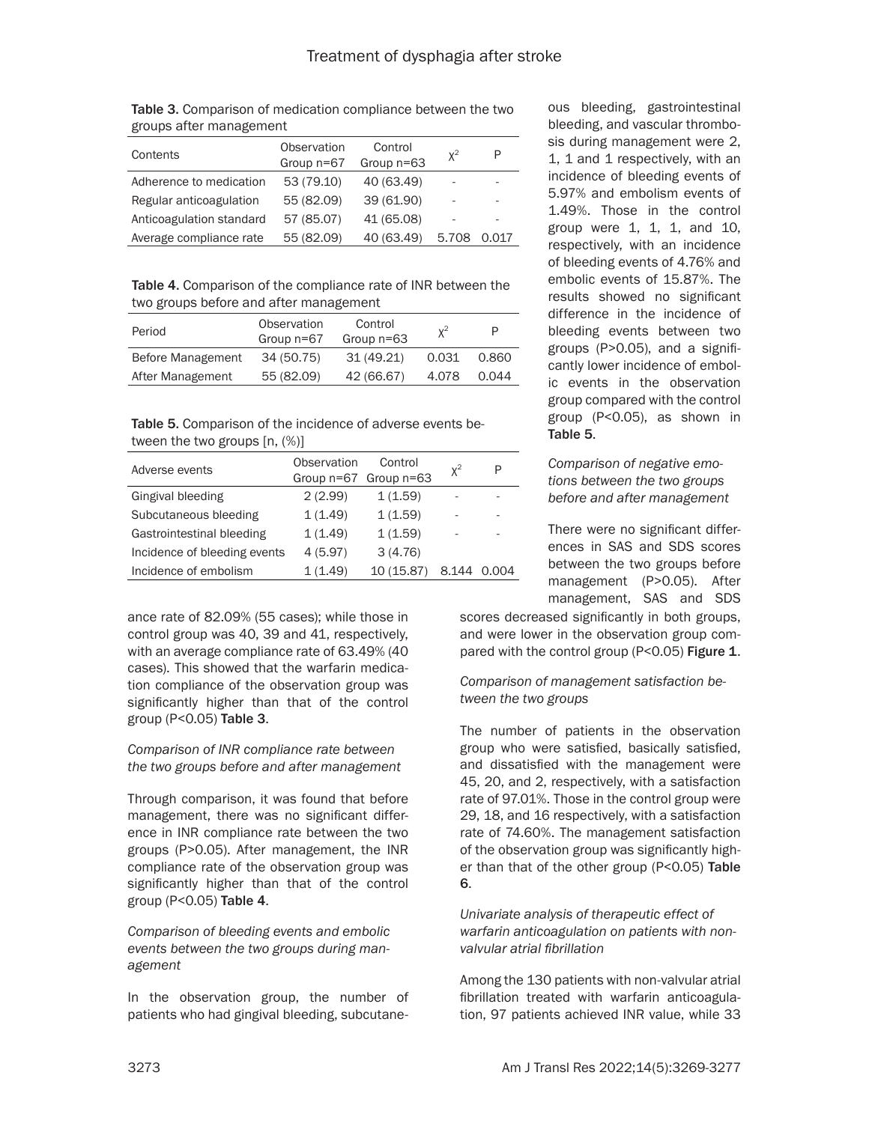| Table 3. Comparison of medication compliance between the two |  |
|--------------------------------------------------------------|--|
| groups after management                                      |  |

| Contents                 | Observation<br>Group $n=67$ | Control<br>Group n=63 | $X^2$ | P     |
|--------------------------|-----------------------------|-----------------------|-------|-------|
| Adherence to medication  | 53 (79.10)                  | 40 (63.49)            | ۰     | -     |
| Regular anticoagulation  | 55 (82.09)                  | 39 (61.90)            | ٠     | -     |
| Anticoagulation standard | 57 (85.07)                  | 41 (65.08)            | ۰     | ۰     |
| Average compliance rate  | 55 (82.09)                  | 40 (63.49)            | 5.708 | 0.017 |

Table 4. Comparison of the compliance rate of INR between the two groups before and after management

| Period            | Observation<br>Group $n=67$ | Control<br>Group $n=63$ | $X^2$ | P     |
|-------------------|-----------------------------|-------------------------|-------|-------|
| Before Management | 34 (50.75)                  | 31(49.21)               | 0.031 | 0.860 |
| After Management  | 55 (82.09)                  | 42 (66.67)              | 4.078 | 0.044 |

Table 5. Comparison of the incidence of adverse events between the two groups [n, (%)]

| Adverse events               | <b>Observation</b> | Control<br>Group n=67 Group n=63 | $X^2$ | P   |
|------------------------------|--------------------|----------------------------------|-------|-----|
| Gingival bleeding            | 2(2.99)            | 1(1.59)                          |       |     |
| Subcutaneous bleeding        | 1(1.49)            | 1(1.59)                          |       |     |
| Gastrointestinal bleeding    | 1(1.49)            | 1(1.59)                          |       |     |
| Incidence of bleeding events | 4(5.97)            | 3(4.76)                          |       |     |
| Incidence of embolism        | 1(1.49)            | 10 (15.87)                       | 8 144 | 004 |

ance rate of 82.09% (55 cases); while those in control group was 40, 39 and 41, respectively, with an average compliance rate of 63.49% (40 cases). This showed that the warfarin medication compliance of the observation group was significantly higher than that of the control group ( $P < 0.05$ ) Table 3.

# *Comparison of INR compliance rate between the two groups before and after management*

Through comparison, it was found that before management, there was no significant difference in INR compliance rate between the two groups (P>0.05). After management, the INR compliance rate of the observation group was significantly higher than that of the control group ( $P < 0.05$ ) Table 4.

*Comparison of bleeding events and embolic events between the two groups during management*

In the observation group, the number of patients who had gingival bleeding, subcutaneous bleeding, gastrointestinal bleeding, and vascular thrombosis during management were 2, 1, 1 and 1 respectively, with an incidence of bleeding events of 5.97% and embolism events of 1.49%. Those in the control group were 1, 1, 1, and 10, respectively, with an incidence of bleeding events of 4.76% and embolic events of 15.87%. The results showed no significant difference in the incidence of bleeding events between two groups (P>0.05), and a significantly lower incidence of embolic events in the observation group compared with the control group (P<0.05), as shown in Table 5.

# *Comparison of negative emotions between the two groups before and after management*

There were no significant differences in SAS and SDS scores between the two groups before management (P>0.05). After management, SAS and SDS

scores decreased significantly in both groups, and were lower in the observation group compared with the control group (P<0.05) Figure 1.

# *Comparison of management satisfaction between the two groups*

The number of patients in the observation group who were satisfied, basically satisfied, and dissatisfied with the management were 45, 20, and 2, respectively, with a satisfaction rate of 97.01%. Those in the control group were 29, 18, and 16 respectively, with a satisfaction rate of 74.60%. The management satisfaction of the observation group was significantly higher than that of the other group (P<0.05) Table 6.

# *Univariate analysis of therapeutic effect of warfarin anticoagulation on patients with nonvalvular atrial fibrillation*

Among the 130 patients with non-valvular atrial fibrillation treated with warfarin anticoagulation, 97 patients achieved INR value, while 33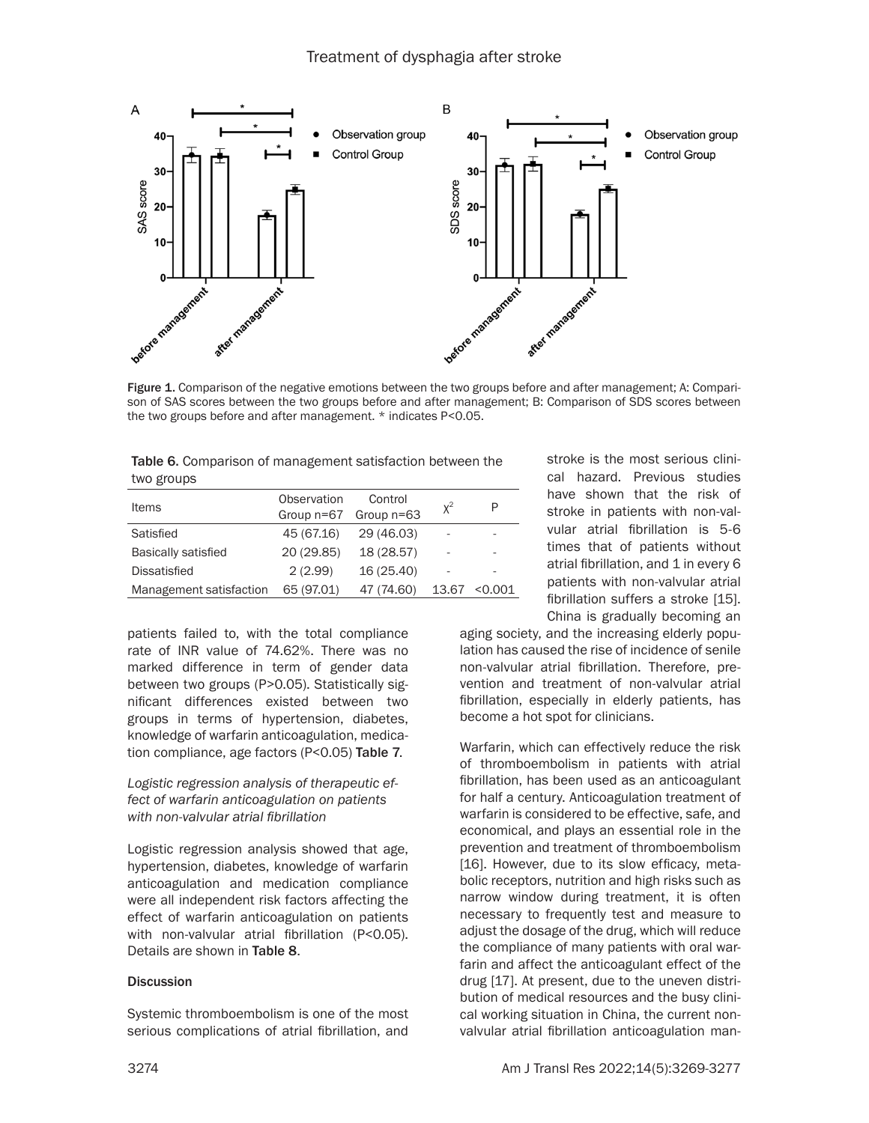

Figure 1. Comparison of the negative emotions between the two groups before and after management; A: Comparison of SAS scores between the two groups before and after management; B: Comparison of SDS scores between the two groups before and after management. \* indicates P<0.05.

| Table 6. Comparison of management satisfaction between the |
|------------------------------------------------------------|
| two groups                                                 |

| <b>Items</b>               | Observation<br>Group $n=67$ | Control<br>Group $n=63$ | $X^2$ |         |
|----------------------------|-----------------------------|-------------------------|-------|---------|
| Satisfied                  | 45 (67.16)                  | 29 (46.03)              | ۰     |         |
| <b>Basically satisfied</b> | 20 (29.85)                  | 18 (28.57)              | ۰     |         |
| <b>Dissatisfied</b>        | 2(2.99)                     | 16 (25.40)              | -     |         |
| Management satisfaction    | 65 (97.01)                  | 47 (74.60)              | 13.67 | < 0.001 |

patients failed to, with the total compliance rate of INR value of 74.62%. There was no marked difference in term of gender data between two groups (P>0.05). Statistically significant differences existed between two groups in terms of hypertension, diabetes, knowledge of warfarin anticoagulation, medication compliance, age factors (P<0.05) Table 7.

# *Logistic regression analysis of therapeutic effect of warfarin anticoagulation on patients with non-valvular atrial fibrillation*

Logistic regression analysis showed that age, hypertension, diabetes, knowledge of warfarin anticoagulation and medication compliance were all independent risk factors affecting the effect of warfarin anticoagulation on patients with non-valvular atrial fibrillation (P<0.05). Details are shown in Table 8.

# **Discussion**

Systemic thromboembolism is one of the most serious complications of atrial fibrillation, and stroke is the most serious clinical hazard. Previous studies have shown that the risk of stroke in patients with non-valvular atrial fibrillation is 5-6 times that of patients without atrial fibrillation, and 1 in every 6 patients with non-valvular atrial fibrillation suffers a stroke [15]. China is gradually becoming an

aging society, and the increasing elderly population has caused the rise of incidence of senile non-valvular atrial fibrillation. Therefore, prevention and treatment of non-valvular atrial fibrillation, especially in elderly patients, has become a hot spot for clinicians.

Warfarin, which can effectively reduce the risk of thromboembolism in patients with atrial fibrillation, has been used as an anticoagulant for half a century. Anticoagulation treatment of warfarin is considered to be effective, safe, and economical, and plays an essential role in the prevention and treatment of thromboembolism [16]. However, due to its slow efficacy, metabolic receptors, nutrition and high risks such as narrow window during treatment, it is often necessary to frequently test and measure to adjust the dosage of the drug, which will reduce the compliance of many patients with oral warfarin and affect the anticoagulant effect of the drug [17]. At present, due to the uneven distribution of medical resources and the busy clinical working situation in China, the current nonvalvular atrial fibrillation anticoagulation man-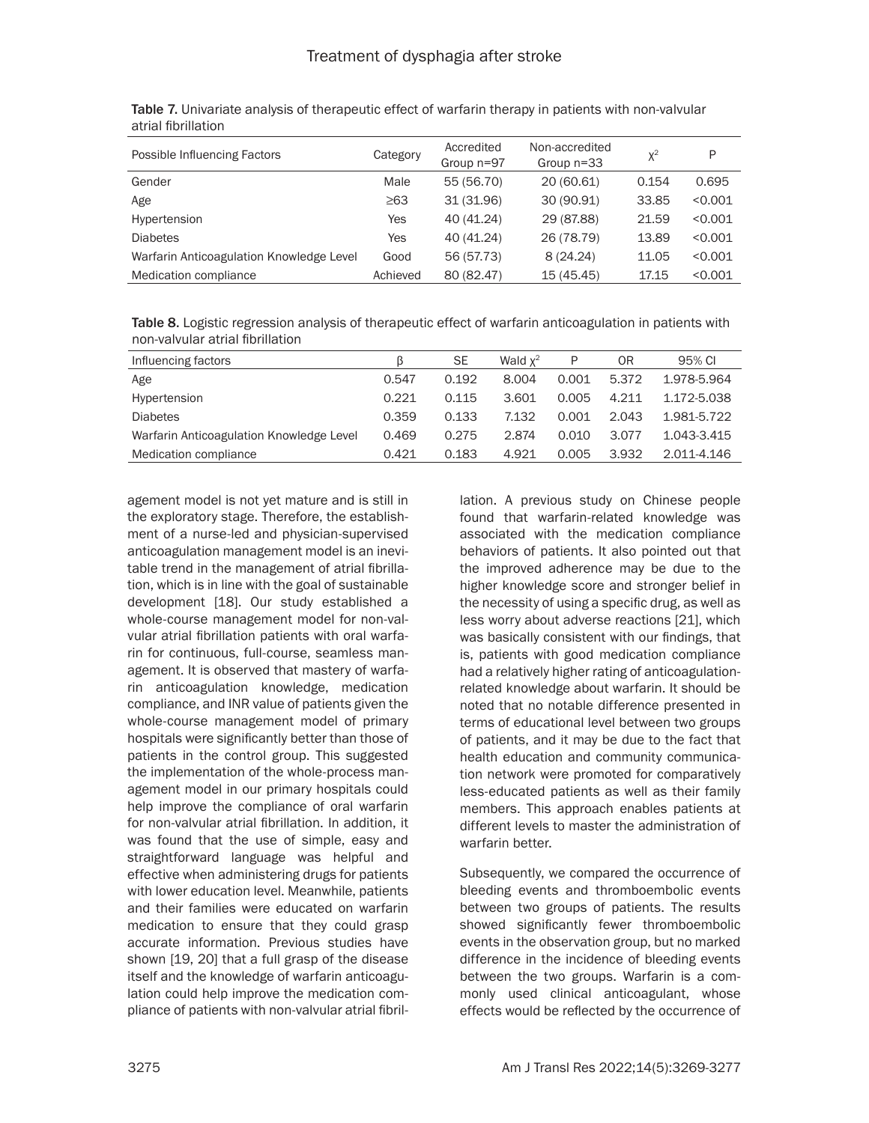| Possible Influencing Factors             | Category  | Accredited<br>Group n=97 | Non-accredited<br>Group $n=33$ | $X^2$ | P       |
|------------------------------------------|-----------|--------------------------|--------------------------------|-------|---------|
| Gender                                   | Male      | 55 (56.70)               | 20 (60.61)                     | 0.154 | 0.695   |
| Age                                      | $\geq 63$ | 31 (31.96)               | 30 (90.91)                     | 33.85 | < 0.001 |
| Hypertension                             | Yes       | 40 (41.24)               | 29 (87.88)                     | 21.59 | < 0.001 |
| <b>Diabetes</b>                          | Yes       | 40 (41.24)               | 26 (78.79)                     | 13.89 | < 0.001 |
| Warfarin Anticoagulation Knowledge Level | Good      | 56 (57.73)               | 8(24.24)                       | 11.05 | < 0.001 |
| Medication compliance                    | Achieved  | 80 (82.47)               | 15 (45.45)                     | 17.15 | < 0.001 |

Table 7. Univariate analysis of therapeutic effect of warfarin therapy in patients with non-valvular atrial fibrillation

Table 8. Logistic regression analysis of therapeutic effect of warfarin anticoagulation in patients with non-valvular atrial fibrillation

| Influencing factors                      |       | SЕ    | Wald $x^2$ | P     | 0R    | 95% CI      |
|------------------------------------------|-------|-------|------------|-------|-------|-------------|
| Age                                      | 0.547 | 0.192 | 8.004      | 0.001 | 5.372 | 1.978-5.964 |
| Hypertension                             | 0.221 | 0.115 | 3.601      | 0.005 | 4.211 | 1.172-5.038 |
| <b>Diabetes</b>                          | 0.359 | 0.133 | 7.132      | 0.001 | 2.043 | 1.981-5.722 |
| Warfarin Anticoagulation Knowledge Level | 0.469 | 0.275 | 2.874      | 0.010 | 3.077 | 1.043-3.415 |
| Medication compliance                    | 0.421 | 0.183 | 4.921      | 0.005 | 3.932 | 2.011-4.146 |

agement model is not yet mature and is still in the exploratory stage. Therefore, the establishment of a nurse-led and physician-supervised anticoagulation management model is an inevitable trend in the management of atrial fibrillation, which is in line with the goal of sustainable development [18]. Our study established a whole-course management model for non-valvular atrial fibrillation patients with oral warfarin for continuous, full-course, seamless management. It is observed that mastery of warfarin anticoagulation knowledge, medication compliance, and INR value of patients given the whole-course management model of primary hospitals were significantly better than those of patients in the control group. This suggested the implementation of the whole-process management model in our primary hospitals could help improve the compliance of oral warfarin for non-valvular atrial fibrillation. In addition, it was found that the use of simple, easy and straightforward language was helpful and effective when administering drugs for patients with lower education level. Meanwhile, patients and their families were educated on warfarin medication to ensure that they could grasp accurate information. Previous studies have shown [19, 20] that a full grasp of the disease itself and the knowledge of warfarin anticoagulation could help improve the medication compliance of patients with non-valvular atrial fibrillation. A previous study on Chinese people found that warfarin-related knowledge was associated with the medication compliance behaviors of patients. It also pointed out that the improved adherence may be due to the higher knowledge score and stronger belief in the necessity of using a specific drug, as well as less worry about adverse reactions [21], which was basically consistent with our findings, that is, patients with good medication compliance had a relatively higher rating of anticoagulationrelated knowledge about warfarin. It should be noted that no notable difference presented in terms of educational level between two groups of patients, and it may be due to the fact that health education and community communication network were promoted for comparatively less-educated patients as well as their family members. This approach enables patients at different levels to master the administration of warfarin better.

Subsequently, we compared the occurrence of bleeding events and thromboembolic events between two groups of patients. The results showed significantly fewer thromboembolic events in the observation group, but no marked difference in the incidence of bleeding events between the two groups. Warfarin is a commonly used clinical anticoagulant, whose effects would be reflected by the occurrence of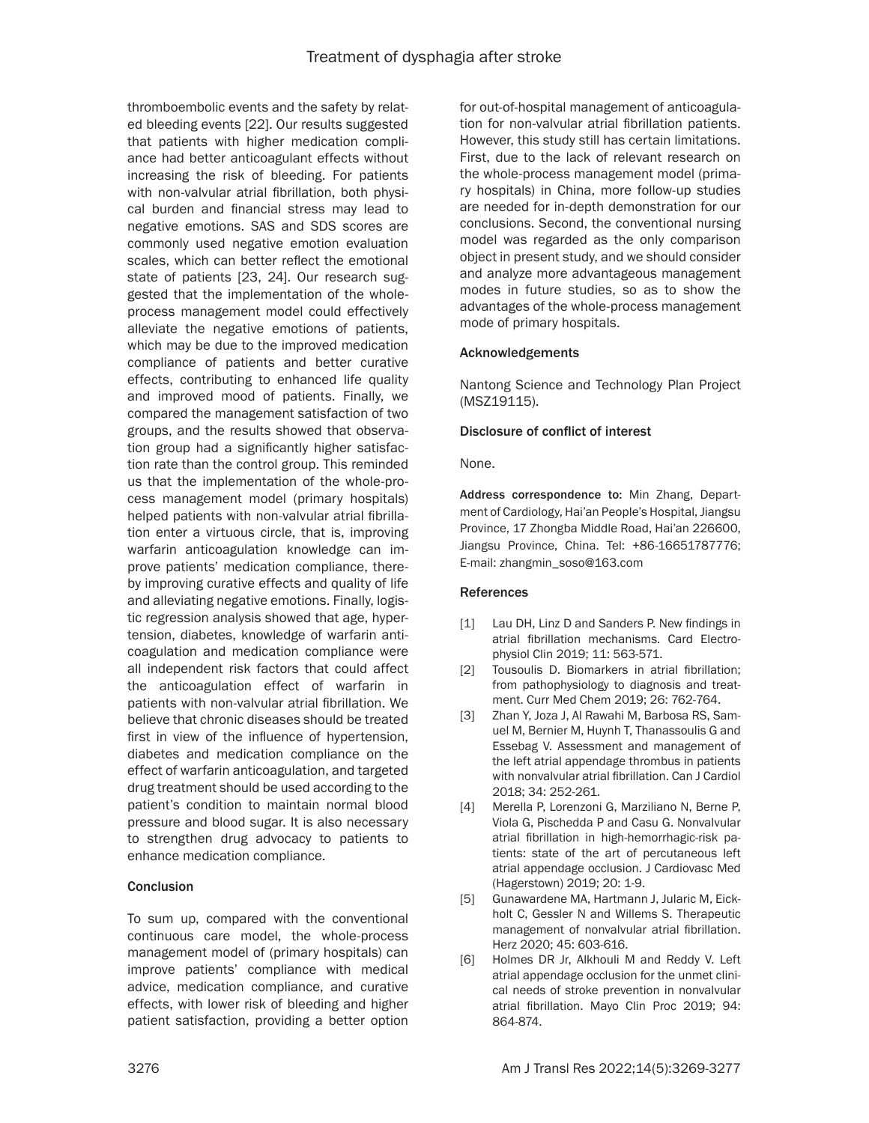thromboembolic events and the safety by related bleeding events [22]. Our results suggested that patients with higher medication compliance had better anticoagulant effects without increasing the risk of bleeding. For patients with non-valvular atrial fibrillation, both physical burden and financial stress may lead to negative emotions. SAS and SDS scores are commonly used negative emotion evaluation scales, which can better reflect the emotional state of patients [23, 24]. Our research suggested that the implementation of the wholeprocess management model could effectively alleviate the negative emotions of patients, which may be due to the improved medication compliance of patients and better curative effects, contributing to enhanced life quality and improved mood of patients. Finally, we compared the management satisfaction of two groups, and the results showed that observation group had a significantly higher satisfaction rate than the control group. This reminded us that the implementation of the whole-process management model (primary hospitals) helped patients with non-valvular atrial fibrillation enter a virtuous circle, that is, improving warfarin anticoagulation knowledge can improve patients' medication compliance, thereby improving curative effects and quality of life and alleviating negative emotions. Finally, logistic regression analysis showed that age, hypertension, diabetes, knowledge of warfarin anticoagulation and medication compliance were all independent risk factors that could affect the anticoagulation effect of warfarin in patients with non-valvular atrial fibrillation. We believe that chronic diseases should be treated first in view of the influence of hypertension, diabetes and medication compliance on the effect of warfarin anticoagulation, and targeted drug treatment should be used according to the patient's condition to maintain normal blood pressure and blood sugar. It is also necessary to strengthen drug advocacy to patients to enhance medication compliance.

# **Conclusion**

To sum up, compared with the conventional continuous care model, the whole-process management model of (primary hospitals) can improve patients' compliance with medical advice, medication compliance, and curative effects, with lower risk of bleeding and higher patient satisfaction, providing a better option for out-of-hospital management of anticoagulation for non-valvular atrial fibrillation patients. However, this study still has certain limitations. First, due to the lack of relevant research on the whole-process management model (primary hospitals) in China, more follow-up studies are needed for in-depth demonstration for our conclusions. Second, the conventional nursing model was regarded as the only comparison object in present study, and we should consider and analyze more advantageous management modes in future studies, so as to show the advantages of the whole-process management mode of primary hospitals.

# Acknowledgements

Nantong Science and Technology Plan Project (MSZ19115).

# Disclosure of conflict of interest

None.

Address correspondence to: Min Zhang, Department of Cardiology, Hai'an People's Hospital, Jiangsu Province, 17 Zhongba Middle Road, Hai'an 226600, Jiangsu Province, China. Tel: +86-16651787776; E-mail: zhangmin\_soso@163.com

# References

- [1] Lau DH, Linz D and Sanders P. New findings in atrial fibrillation mechanisms. Card Electrophysiol Clin 2019; 11: 563-571.
- [2] Tousoulis D. Biomarkers in atrial fibrillation; from pathophysiology to diagnosis and treatment. Curr Med Chem 2019; 26: 762-764.
- [3] Zhan Y, Joza J, Al Rawahi M, Barbosa RS, Samuel M, Bernier M, Huynh T, Thanassoulis G and Essebag V. Assessment and management of the left atrial appendage thrombus in patients with nonvalvular atrial fibrillation. Can J Cardiol 2018; 34: 252-261.
- [4] Merella P, Lorenzoni G, Marziliano N, Berne P, Viola G, Pischedda P and Casu G. Nonvalvular atrial fibrillation in high-hemorrhagic-risk patients: state of the art of percutaneous left atrial appendage occlusion. J Cardiovasc Med (Hagerstown) 2019; 20: 1-9.
- [5] Gunawardene MA, Hartmann J, Jularic M, Eickholt C, Gessler N and Willems S. Therapeutic management of nonvalvular atrial fibrillation. Herz 2020; 45: 603-616.
- [6] Holmes DR Jr, Alkhouli M and Reddy V. Left atrial appendage occlusion for the unmet clinical needs of stroke prevention in nonvalvular atrial fibrillation. Mayo Clin Proc 2019; 94: 864-874.